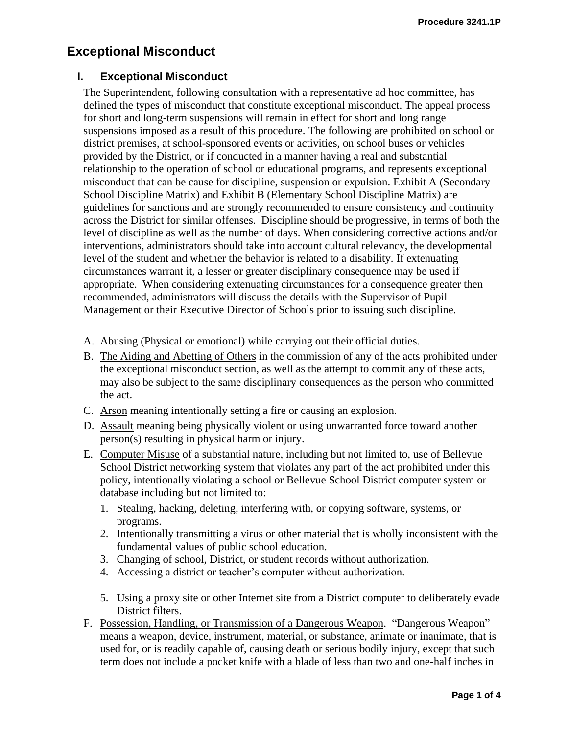## **Exceptional Misconduct**

## **I. Exceptional Misconduct**

The Superintendent, following consultation with a representative ad hoc committee, has defined the types of misconduct that constitute exceptional misconduct. The appeal process for short and long-term suspensions will remain in effect for short and long range suspensions imposed as a result of this procedure. The following are prohibited on school or district premises, at school-sponsored events or activities, on school buses or vehicles provided by the District, or if conducted in a manner having a real and substantial relationship to the operation of school or educational programs, and represents exceptional misconduct that can be cause for discipline, suspension or expulsion. Exhibit A (Secondary School Discipline Matrix) and Exhibit B (Elementary School Discipline Matrix) are guidelines for sanctions and are strongly recommended to ensure consistency and continuity across the District for similar offenses. Discipline should be progressive, in terms of both the level of discipline as well as the number of days. When considering corrective actions and/or interventions, administrators should take into account cultural relevancy, the developmental level of the student and whether the behavior is related to a disability. If extenuating circumstances warrant it, a lesser or greater disciplinary consequence may be used if appropriate. When considering extenuating circumstances for a consequence greater then recommended, administrators will discuss the details with the Supervisor of Pupil Management or their Executive Director of Schools prior to issuing such discipline.

- A. Abusing (Physical or emotional) while carrying out their official duties.
- B. The Aiding and Abetting of Others in the commission of any of the acts prohibited under the exceptional misconduct section, as well as the attempt to commit any of these acts, may also be subject to the same disciplinary consequences as the person who committed the act.
- C. Arson meaning intentionally setting a fire or causing an explosion.
- D. Assault meaning being physically violent or using unwarranted force toward another person(s) resulting in physical harm or injury.
- E. Computer Misuse of a substantial nature, including but not limited to, use of Bellevue School District networking system that violates any part of the act prohibited under this policy, intentionally violating a school or Bellevue School District computer system or database including but not limited to:
	- 1. Stealing, hacking, deleting, interfering with, or copying software, systems, or programs.
	- 2. Intentionally transmitting a virus or other material that is wholly inconsistent with the fundamental values of public school education.
	- 3. Changing of school, District, or student records without authorization.
	- 4. Accessing a district or teacher's computer without authorization.
	- 5. Using a proxy site or other Internet site from a District computer to deliberately evade District filters.
- F. Possession, Handling, or Transmission of a Dangerous Weapon. "Dangerous Weapon" means a weapon, device, instrument, material, or substance, animate or inanimate, that is used for, or is readily capable of, causing death or serious bodily injury, except that such term does not include a pocket knife with a blade of less than two and one-half inches in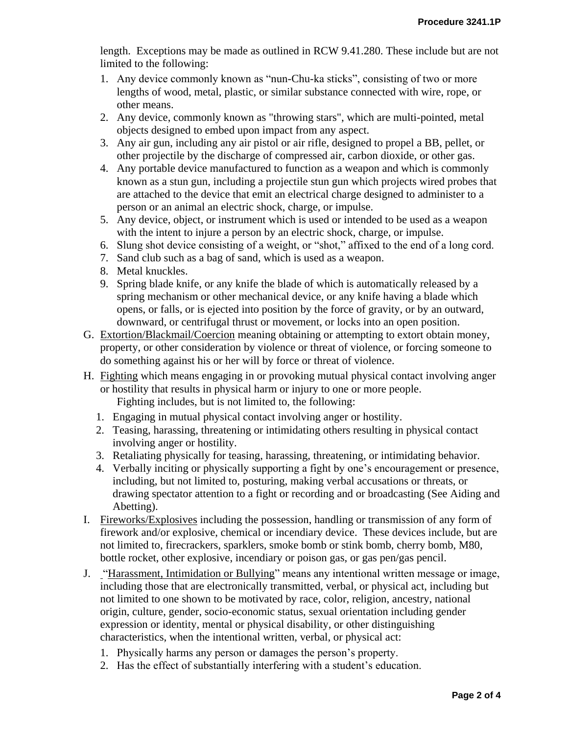length. Exceptions may be made as outlined in RCW 9.41.280. These include but are not limited to the following:

- 1. Any device commonly known as "nun-Chu-ka sticks", consisting of two or more lengths of wood, metal, plastic, or similar substance connected with wire, rope, or other means.
- 2. Any device, commonly known as "throwing stars", which are multi-pointed, metal objects designed to embed upon impact from any aspect.
- 3. Any air gun, including any air pistol or air rifle, designed to propel a BB, pellet, or other projectile by the discharge of compressed air, carbon dioxide, or other gas.
- 4. Any portable device manufactured to function as a weapon and which is commonly known as a stun gun, including a projectile stun gun which projects wired probes that are attached to the device that emit an electrical charge designed to administer to a person or an animal an electric shock, charge, or impulse.
- 5. Any device, object, or instrument which is used or intended to be used as a weapon with the intent to injure a person by an electric shock, charge, or impulse.
- 6. Slung shot device consisting of a weight, or "shot," affixed to the end of a long cord.
- 7. Sand club such as a bag of sand, which is used as a weapon.
- 8. Metal knuckles.
- 9. Spring blade knife, or any knife the blade of which is automatically released by a spring mechanism or other mechanical device, or any knife having a blade which opens, or falls, or is ejected into position by the force of gravity, or by an outward, downward, or centrifugal thrust or movement, or locks into an open position.
- G. Extortion/Blackmail/Coercion meaning obtaining or attempting to extort obtain money, property, or other consideration by violence or threat of violence, or forcing someone to do something against his or her will by force or threat of violence.
- H. Fighting which means engaging in or provoking mutual physical contact involving anger or hostility that results in physical harm or injury to one or more people.

Fighting includes, but is not limited to, the following:

- 1. Engaging in mutual physical contact involving anger or hostility.
- 2. Teasing, harassing, threatening or intimidating others resulting in physical contact involving anger or hostility.
- 3. Retaliating physically for teasing, harassing, threatening, or intimidating behavior.
- 4. Verbally inciting or physically supporting a fight by one's encouragement or presence, including, but not limited to, posturing, making verbal accusations or threats, or drawing spectator attention to a fight or recording and or broadcasting (See Aiding and Abetting).
- I. Fireworks/Explosives including the possession, handling or transmission of any form of firework and/or explosive, chemical or incendiary device. These devices include, but are not limited to, firecrackers, sparklers, smoke bomb or stink bomb, cherry bomb, M80, bottle rocket, other explosive, incendiary or poison gas, or gas pen/gas pencil.
- J. "Harassment, Intimidation or Bullying" means any intentional written message or image, including those that are electronically transmitted, verbal, or physical act, including but not limited to one shown to be motivated by race, color, religion, ancestry, national origin, culture, gender, socio-economic status, sexual orientation including gender expression or identity, mental or physical disability, or other distinguishing characteristics, when the intentional written, verbal, or physical act:
	- 1. Physically harms any person or damages the person's property.
	- 2. Has the effect of substantially interfering with a student's education.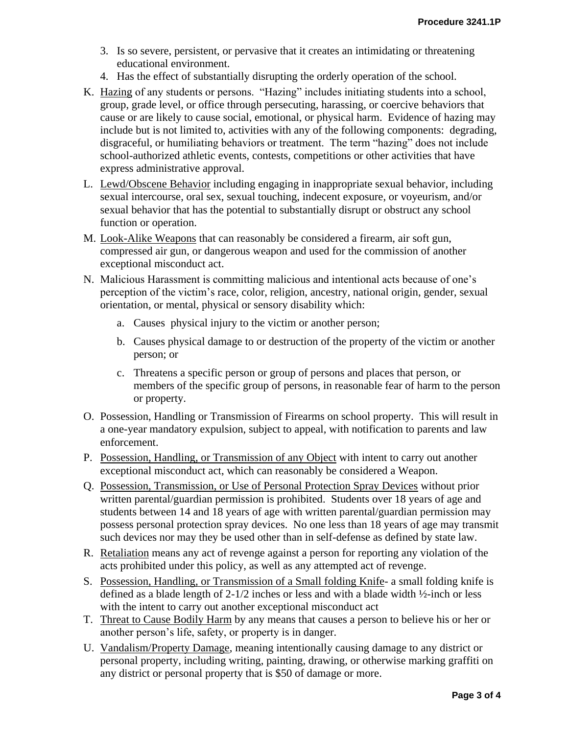- 3. Is so severe, persistent, or pervasive that it creates an intimidating or threatening educational environment.
- 4. Has the effect of substantially disrupting the orderly operation of the school.
- K. Hazing of any students or persons. "Hazing" includes initiating students into a school, group, grade level, or office through persecuting, harassing, or coercive behaviors that cause or are likely to cause social, emotional, or physical harm. Evidence of hazing may include but is not limited to, activities with any of the following components: degrading, disgraceful, or humiliating behaviors or treatment. The term "hazing" does not include school-authorized athletic events, contests, competitions or other activities that have express administrative approval.
- L. Lewd/Obscene Behavior including engaging in inappropriate sexual behavior, including sexual intercourse, oral sex, sexual touching, indecent exposure, or voyeurism, and/or sexual behavior that has the potential to substantially disrupt or obstruct any school function or operation.
- M. Look-Alike Weapons that can reasonably be considered a firearm, air soft gun, compressed air gun, or dangerous weapon and used for the commission of another exceptional misconduct act.
- N. Malicious Harassment is committing malicious and intentional acts because of one's perception of the victim's race, color, religion, ancestry, national origin, gender, sexual orientation, or mental, physical or sensory disability which:
	- a. Causes physical injury to the victim or another person;
	- b. Causes physical damage to or destruction of the property of the victim or another person; or
	- c. Threatens a specific person or group of persons and places that person, or members of the specific group of persons, in reasonable fear of harm to the person or property.
- O. Possession, Handling or Transmission of Firearms on school property. This will result in a one-year mandatory expulsion, subject to appeal, with notification to parents and law enforcement.
- P. Possession, Handling, or Transmission of any Object with intent to carry out another exceptional misconduct act, which can reasonably be considered a Weapon.
- Q. Possession, Transmission, or Use of Personal Protection Spray Devices without prior written parental/guardian permission is prohibited. Students over 18 years of age and students between 14 and 18 years of age with written parental/guardian permission may possess personal protection spray devices. No one less than 18 years of age may transmit such devices nor may they be used other than in self-defense as defined by state law.
- R. Retaliation means any act of revenge against a person for reporting any violation of the acts prohibited under this policy, as well as any attempted act of revenge.
- S. Possession, Handling, or Transmission of a Small folding Knife- a small folding knife is defined as a blade length of 2-1/2 inches or less and with a blade width ½-inch or less with the intent to carry out another exceptional misconduct act
- T. Threat to Cause Bodily Harm by any means that causes a person to believe his or her or another person's life, safety, or property is in danger.
- U. Vandalism/Property Damage, meaning intentionally causing damage to any district or personal property, including writing, painting, drawing, or otherwise marking graffiti on any district or personal property that is \$50 of damage or more.